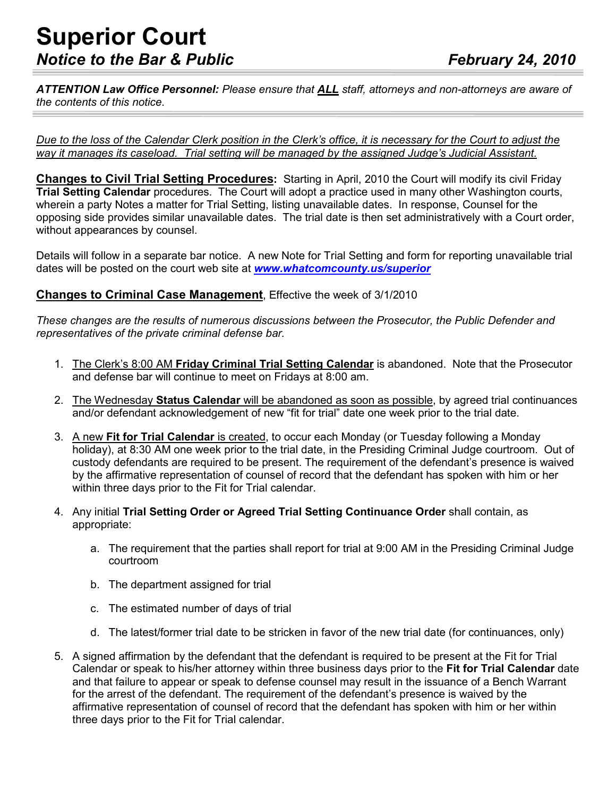## **Superior Court**  *Notice to the Bar & Public February 24, 2010*

*ATTENTION Law Office Personnel: Please ensure that ALL staff, attorneys and non-attorneys are aware of the contents of this notice.* 

*Due to the loss of the Calendar Clerk position in the Clerk's office, it is necessary for the Court to adjust the way it manages its caseload. Trial setting will be managed by the assigned Judge's Judicial Assistant.*

**Changes to Civil Trial Setting Procedures:** Starting in April, 2010 the Court will modify its civil Friday **Trial Setting Calendar** procedures. The Court will adopt a practice used in many other Washington courts, wherein a party Notes a matter for Trial Setting, listing unavailable dates. In response, Counsel for the opposing side provides similar unavailable dates. The trial date is then set administratively with a Court order, without appearances by counsel.

Details will follow in a separate bar notice. A new Note for Trial Setting and form for reporting unavailable trial dates will be posted on the court web site at *www.whatcomcounty.us/superior*

## **Changes to Criminal Case Management**, Effective the week of 3/1/2010

*These changes are the results of numerous discussions between the Prosecutor, the Public Defender and representatives of the private criminal defense bar.* 

- 1. The Clerk's 8:00 AM **Friday Criminal Trial Setting Calendar** is abandoned. Note that the Prosecutor and defense bar will continue to meet on Fridays at 8:00 am.
- 2. The Wednesday **Status Calendar** will be abandoned as soon as possible, by agreed trial continuances and/or defendant acknowledgement of new "fit for trial" date one week prior to the trial date.
- 3. A new **Fit for Trial Calendar** is created, to occur each Monday (or Tuesday following a Monday holiday), at 8:30 AM one week prior to the trial date, in the Presiding Criminal Judge courtroom. Out of custody defendants are required to be present. The requirement of the defendant's presence is waived by the affirmative representation of counsel of record that the defendant has spoken with him or her within three days prior to the Fit for Trial calendar.
- 4. Any initial **Trial Setting Order or Agreed Trial Setting Continuance Order** shall contain, as appropriate:
	- a. The requirement that the parties shall report for trial at 9:00 AM in the Presiding Criminal Judge courtroom
	- b. The department assigned for trial
	- c. The estimated number of days of trial
	- d. The latest/former trial date to be stricken in favor of the new trial date (for continuances, only)
- 5. A signed affirmation by the defendant that the defendant is required to be present at the Fit for Trial Calendar or speak to his/her attorney within three business days prior to the **Fit for Trial Calendar** date and that failure to appear or speak to defense counsel may result in the issuance of a Bench Warrant for the arrest of the defendant. The requirement of the defendant's presence is waived by the affirmative representation of counsel of record that the defendant has spoken with him or her within three days prior to the Fit for Trial calendar.